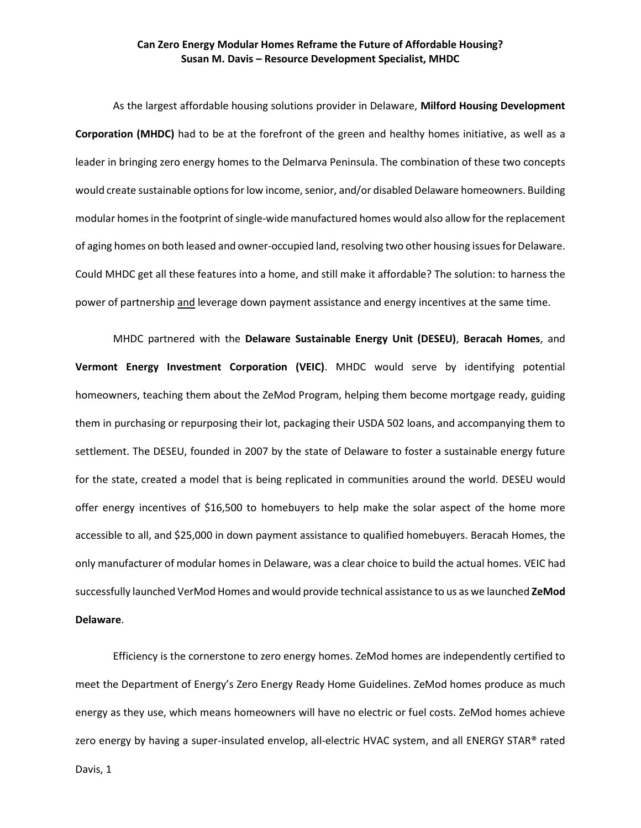## **Can Zero Energy Modular Homes Reframe the Future of Affordable Housing? Susan M. Davis – Resource Development Specialist, MHDC**

As the largest affordable housing solutions provider in Delaware, **Milford Housing Development Corporation (MHDC)** had to be at the forefront of the green and healthy homes initiative, as well as a leader in bringing zero energy homes to the Delmarva Peninsula. The combination of these two concepts would create sustainable options for low income, senior, and/or disabled Delaware homeowners. Building modular homes in the footprint of single-wide manufactured homes would also allow for the replacement of aging homes on both leased and owner-occupied land, resolving two other housing issues for Delaware. Could MHDC get all these features into a home, and still make it affordable? The solution: to harness the power of partnership and leverage down payment assistance and energy incentives at the same time.

MHDC partnered with the **Delaware Sustainable Energy Unit (DESEU)**, **Beracah Homes**, and **Vermont Energy Investment Corporation (VEIC)**. MHDC would serve by identifying potential homeowners, teaching them about the ZeMod Program, helping them become mortgage ready, guiding them in purchasing or repurposing their lot, packaging their USDA 502 loans, and accompanying them to settlement. The DESEU, founded in 2007 by the state of Delaware to foster a sustainable energy future for the state, created a model that is being replicated in communities around the world. DESEU would offer energy incentives of \$16,500 to homebuyers to help make the solar aspect of the home more accessible to all, and \$25,000 in down payment assistance to qualified homebuyers. Beracah Homes, the only manufacturer of modular homes in Delaware, was a clear choice to build the actual homes. VEIC had successfully launched VerMod Homes and would provide technical assistance to us as we launched **ZeMod Delaware**.

Efficiency is the cornerstone to zero energy homes. ZeMod homes are independently certified to meet the Department of Energy's Zero Energy Ready Home Guidelines. ZeMod homes produce as much energy as they use, which means homeowners will have no electric or fuel costs. ZeMod homes achieve zero energy by having a super-insulated envelop, all-electric HVAC system, and all ENERGY STAR® rated

Davis, 1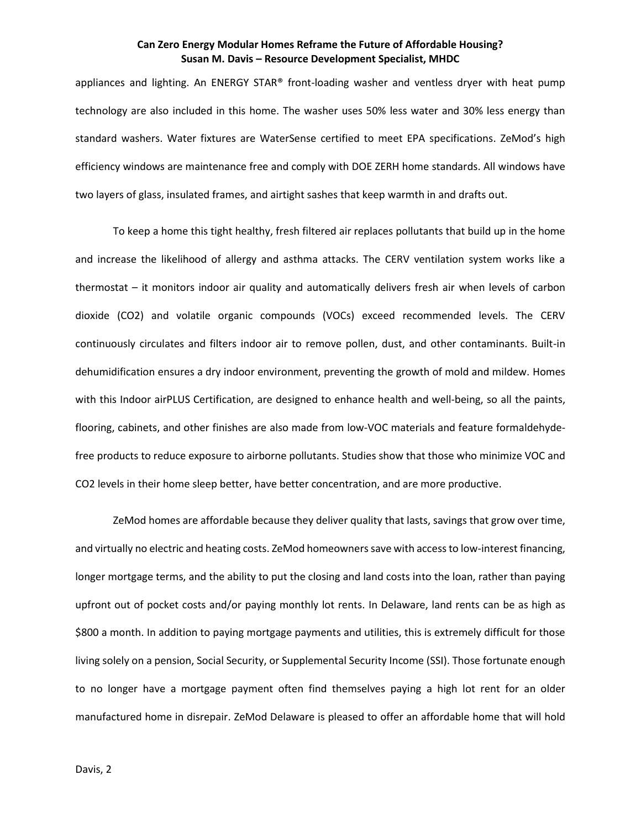## **Can Zero Energy Modular Homes Reframe the Future of Affordable Housing? Susan M. Davis – Resource Development Specialist, MHDC**

appliances and lighting. An ENERGY STAR® front-loading washer and ventless dryer with heat pump technology are also included in this home. The washer uses 50% less water and 30% less energy than standard washers. Water fixtures are WaterSense certified to meet EPA specifications. ZeMod's high efficiency windows are maintenance free and comply with DOE ZERH home standards. All windows have two layers of glass, insulated frames, and airtight sashes that keep warmth in and drafts out.

To keep a home this tight healthy, fresh filtered air replaces pollutants that build up in the home and increase the likelihood of allergy and asthma attacks. The CERV ventilation system works like a thermostat – it monitors indoor air quality and automatically delivers fresh air when levels of carbon dioxide (CO2) and volatile organic compounds (VOCs) exceed recommended levels. The CERV continuously circulates and filters indoor air to remove pollen, dust, and other contaminants. Built-in dehumidification ensures a dry indoor environment, preventing the growth of mold and mildew. Homes with this Indoor airPLUS Certification, are designed to enhance health and well-being, so all the paints, flooring, cabinets, and other finishes are also made from low-VOC materials and feature formaldehydefree products to reduce exposure to airborne pollutants. Studies show that those who minimize VOC and CO2 levels in their home sleep better, have better concentration, and are more productive.

ZeMod homes are affordable because they deliver quality that lasts, savings that grow over time, and virtually no electric and heating costs. ZeMod homeowners save with access to low-interest financing, longer mortgage terms, and the ability to put the closing and land costs into the loan, rather than paying upfront out of pocket costs and/or paying monthly lot rents. In Delaware, land rents can be as high as \$800 a month. In addition to paying mortgage payments and utilities, this is extremely difficult for those living solely on a pension, Social Security, or Supplemental Security Income (SSI). Those fortunate enough to no longer have a mortgage payment often find themselves paying a high lot rent for an older manufactured home in disrepair. ZeMod Delaware is pleased to offer an affordable home that will hold